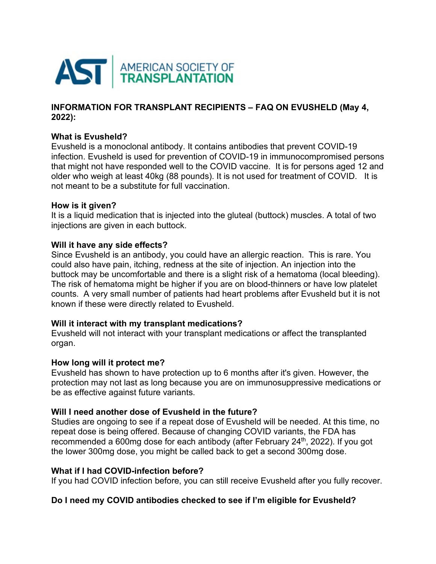

## **INFORMATION FOR TRANSPLANT RECIPIENTS – FAQ ON EVUSHELD (May 4, 2022):**

# **What is Evusheld?**

Evusheld is a monoclonal antibody. It contains antibodies that prevent COVID-19 infection. Evusheld is used for prevention of COVID-19 in immunocompromised persons that might not have responded well to the COVID vaccine. It is for persons aged 12 and older who weigh at least 40kg (88 pounds). It is not used for treatment of COVID. It is not meant to be a substitute for full vaccination.

### **How is it given?**

It is a liquid medication that is injected into the gluteal (buttock) muscles. A total of two injections are given in each buttock.

## **Will it have any side effects?**

Since Evusheld is an antibody, you could have an allergic reaction. This is rare. You could also have pain, itching, redness at the site of injection. An injection into the buttock may be uncomfortable and there is a slight risk of a hematoma (local bleeding). The risk of hematoma might be higher if you are on blood-thinners or have low platelet counts. A very small number of patients had heart problems after Evusheld but it is not known if these were directly related to Evusheld.

## **Will it interact with my transplant medications?**

Evusheld will not interact with your transplant medications or affect the transplanted organ.

#### **How long will it protect me?**

Evusheld has shown to have protection up to 6 months after it's given. However, the protection may not last as long because you are on immunosuppressive medications or be as effective against future variants.

## **Will I need another dose of Evusheld in the future?**

Studies are ongoing to see if a repeat dose of Evusheld will be needed. At this time, no repeat dose is being offered. Because of changing COVID variants, the FDA has recommended a 600mg dose for each antibody (after February 24<sup>th</sup>, 2022). If you got the lower 300mg dose, you might be called back to get a second 300mg dose.

#### **What if I had COVID-infection before?**

If you had COVID infection before, you can still receive Evusheld after you fully recover.

## **Do I need my COVID antibodies checked to see if I'm eligible for Evusheld?**